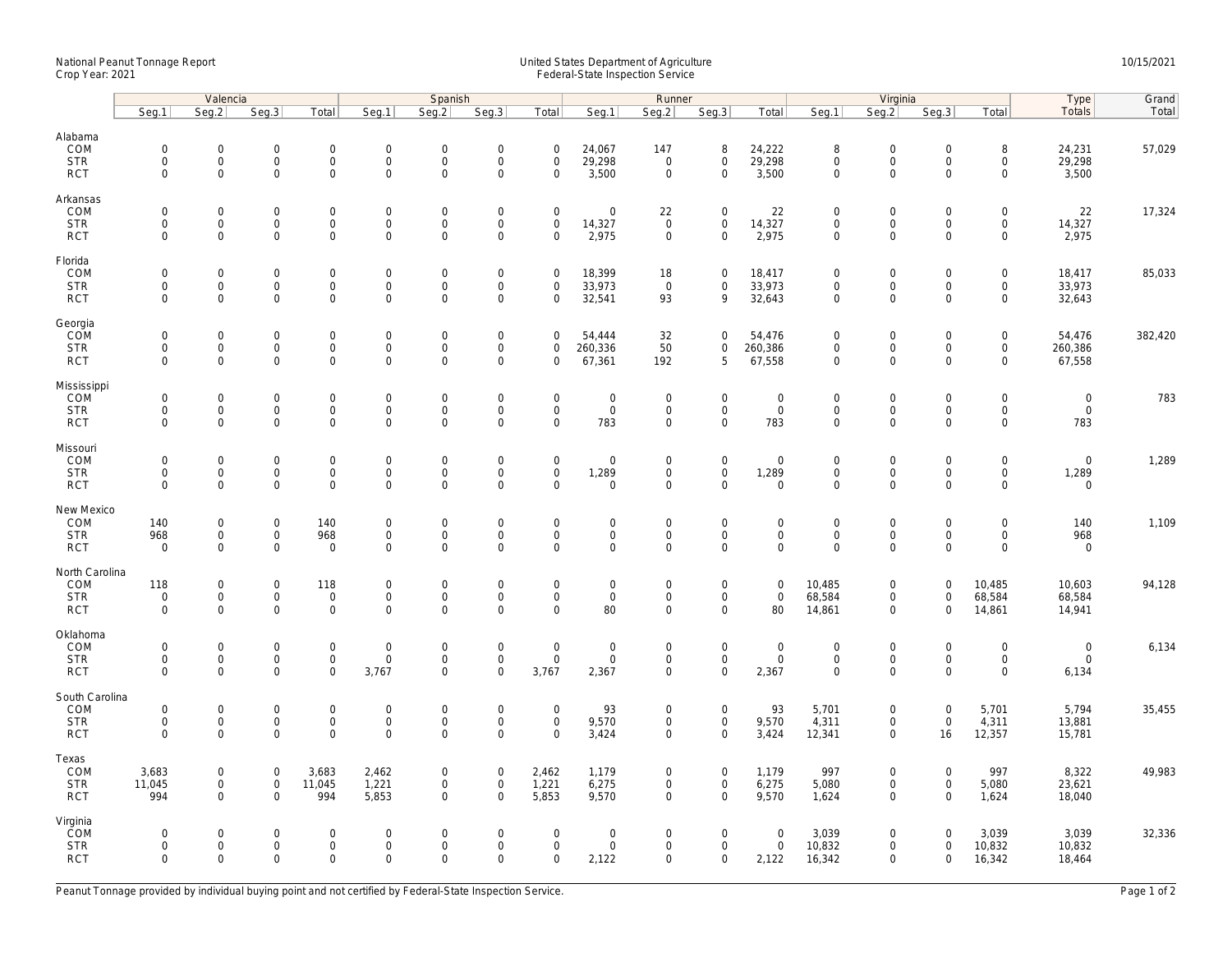## National Peanut Tonnage Report United States Department of Agriculture 10/15/2021<br>Crop Year: 2021 Federal-State Inspection Service

|                                                   | Valencia                                                  |                                          |                                                           |                                                   | Spanish                                           |                                                   |                                                                   |                                                           | Runner                         |                                                   |                                                    |                                           | Virginia                                          |                                                           |                                                           |                                         | Type                                              | Grand   |
|---------------------------------------------------|-----------------------------------------------------------|------------------------------------------|-----------------------------------------------------------|---------------------------------------------------|---------------------------------------------------|---------------------------------------------------|-------------------------------------------------------------------|-----------------------------------------------------------|--------------------------------|---------------------------------------------------|----------------------------------------------------|-------------------------------------------|---------------------------------------------------|-----------------------------------------------------------|-----------------------------------------------------------|-----------------------------------------|---------------------------------------------------|---------|
|                                                   | Seg.1                                                     | Seq.2                                    | Seq.3                                                     | Total                                             | Seg.1                                             | Seq.2                                             | Seq.3                                                             | Total                                                     | Seg.1                          | Seg.2                                             | Seq.3                                              | Total                                     | Seq.1                                             | Seq.2                                                     | Seq.3                                                     | Total                                   | <b>Totals</b>                                     | Total   |
| Alabama<br>COM<br><b>STR</b><br><b>RCT</b>        | $\mathbf 0$<br>0<br>$\mathbf{0}$                          | $\mathbf{0}$<br>$\mathsf{O}\xspace$<br>0 | $\mathbf 0$<br>$\mathsf{O}$<br>$\mathsf{O}\xspace$        | $\mathbf 0$<br>$\mathsf{O}\xspace$<br>$\mathbf 0$ | $\mathbf{0}$<br>$\boldsymbol{0}$<br>$\mathbf 0$   | $\mathbf 0$<br>$\mathsf{O}\xspace$<br>$\mathbf 0$ | $\mathbf 0$<br>$\mathsf{O}\xspace$<br>$\mathbf 0$                 | $\mathbf 0$<br>$\mathsf{O}\xspace$<br>$\mathbf 0$         | 24,067<br>29,298<br>3,500      | 147<br>$\mathsf 0$<br>$\mathbf 0$                 | 8<br>$\mathsf{O}\xspace$<br>$\mathbf 0$            | 24,222<br>29,298<br>3,500                 | 8<br>$\mathsf{O}\xspace$<br>$\mathbf 0$           | $\mathbf{0}$<br>$\mathsf{O}\xspace$<br>$\mathbf 0$        | $\mathbf 0$<br>$\mathbf 0$<br>$\Omega$                    | 8<br>0<br>0                             | 24,231<br>29,298<br>3,500                         | 57,029  |
| Arkansas<br>COM<br><b>STR</b><br><b>RCT</b>       | $\mathsf{O}\xspace$<br>$\mathbf 0$<br>$\mathbf 0$         | 0<br>0<br>$\overline{0}$                 | $\mathbf 0$<br>$\mathsf{O}$<br>$\mathbf 0$                | $\mathbf 0$<br>$\mathbf 0$<br>$\mathbf{0}$        | $\mathbf 0$<br>$\mathbf 0$<br>$\mathbf{0}$        | $\mathbf 0$<br>$\mathbf 0$<br>$\mathbf 0$         | $\mathbf 0$<br>$\mathsf{O}\xspace$<br>$\mathbf 0$                 | $\mathsf{O}\xspace$<br>$\mathsf 0$<br>$\mathbf 0$         | 0<br>14,327<br>2,975           | 22<br>$\mathsf 0$<br>$\mathsf 0$                  | $\mathsf 0$<br>$\mathsf{O}\xspace$<br>$\mathbf 0$  | 22<br>14,327<br>2,975                     | $\mathbf 0$<br>$\mathbf 0$<br>$\mathbf 0$         | $\mathsf 0$<br>$\mathsf{O}\xspace$<br>$\mathbf 0$         | $\mathsf{O}\xspace$<br>$\mathbf 0$<br>$\mathbf 0$         | 0<br>0<br>$\mathbf 0$                   | 22<br>14,327<br>2,975                             | 17,324  |
| Florida<br>COM<br><b>STR</b><br><b>RCT</b>        | $\mathsf{O}\xspace$<br>$\mathsf{O}\xspace$<br>$\mathbf 0$ | 0<br>0<br>0                              | $\overline{0}$<br>$\mathsf{O}$<br>$\mathsf{O}\xspace$     | $\mathbf 0$<br>$\mathbf 0$<br>$\mathbf 0$         | $\mathbf 0$<br>$\mathbf 0$<br>$\mathsf{O}\xspace$ | $\mathbf 0$<br>$\mathsf{O}\xspace$<br>$\mathbf 0$ | $\mathsf{O}\xspace$<br>$\mathsf{O}\xspace$<br>$\mathsf{O}\xspace$ | $\mathsf{O}\xspace$<br>$\mathsf{O}\xspace$<br>$\mathbf 0$ | 18,399<br>33,973<br>32,541     | 18<br>$\mathsf 0$<br>93                           | $\mathbf 0$<br>$\mathbf 0$<br>9                    | 18,417<br>33,973<br>32,643                | $\mathbf 0$<br>$\mathsf{O}\xspace$<br>$\mathbf 0$ | $\mathbf 0$<br>$\mathsf{O}\xspace$<br>$\mathbf 0$         | $\mathsf{O}\xspace$<br>$\mathsf{O}\xspace$<br>$\mathbf 0$ | 0<br>0<br>$\mathsf{O}$                  | 18,417<br>33,973<br>32,643                        | 85,033  |
| Georgia<br>COM<br><b>STR</b><br><b>RCT</b>        | $\mathbf 0$<br>0<br>$\mathbf{0}$                          | 0<br>0<br>$\mathbf{0}$                   | $\mathbf 0$<br>$\mathsf{O}$<br>$\mathsf 0$                | $\mathbf 0$<br>$\mathbf 0$<br>$\mathbf{0}$        | $\mathbf 0$<br>$\boldsymbol{0}$<br>$\mathbf 0$    | $\mathbf 0$<br>$\mathbf 0$<br>$\mathbf 0$         | $\mathsf{O}\xspace$<br>$\mathsf{O}\xspace$<br>$\mathbf 0$         | $\mathbf 0$<br>$\mathbf 0$<br>$\mathbf 0$                 | 54,444<br>260,336<br>67,361    | 32<br>50<br>192                                   | $\mathbf 0$<br>$\mathbf 0$<br>5                    | 54,476<br>260,386<br>67,558               | $\mathbf 0$<br>$\mathbf 0$<br>$\mathbf 0$         | $\mathbf 0$<br>$\mathsf{O}\xspace$<br>$\mathbf 0$         | $\mathbf 0$<br>$\mathbf{0}$<br>$\mathbf 0$                | 0<br>0<br>$\mathbf 0$                   | 54,476<br>260,386<br>67,558                       | 382,420 |
| Mississippi<br>COM<br><b>STR</b><br><b>RCT</b>    | $\mathsf{O}\xspace$<br>0<br>$\mathbf{0}$                  | 0<br>0<br>0                              | $\mathsf 0$<br>$\mathsf{O}\xspace$<br>$\mathsf{O}$        | $\mathbf 0$<br>$\mathbf 0$<br>$\mathbf 0$         | $\mathbf 0$<br>$\mathbf 0$<br>$\mathbf 0$         | $\mathsf{O}\xspace$<br>$\mathbf 0$<br>$\mathbf 0$ | $\mathsf{O}\xspace$<br>$\mathsf{O}\xspace$<br>$\mathbf 0$         | $\mathsf{O}\xspace$<br>$\mathsf{O}\xspace$<br>$\mathbf 0$ | 0<br>$\mathbf 0$<br>783        | $\mathbf 0$<br>$\mathsf 0$<br>$\mathbf 0$         | $\mathsf 0$<br>$\mathbf 0$<br>$\mathbf 0$          | $\mathbf 0$<br>$\mathbf 0$<br>783         | $\mathbf 0$<br>$\mathbf 0$<br>$\mathbf 0$         | $\mathsf{O}\xspace$<br>$\mathsf{O}\xspace$<br>$\mathbf 0$ | $\mathsf{O}\xspace$<br>$\mathsf{O}\xspace$<br>$\mathbf 0$ | 0<br>0<br>$\mathbf 0$                   | $\mathsf{O}\xspace$<br>$\mathsf{O}\xspace$<br>783 | 783     |
| Missouri<br>COM<br><b>STR</b><br><b>RCT</b>       | $\mathsf{O}\xspace$<br>$\mathbf 0$<br>$\mathbf 0$         | 0<br>$\overline{0}$<br>0                 | $\mathsf 0$<br>$\mathsf{O}$<br>$\mathsf 0$                | $\mathbf 0$<br>$\mathbf{0}$<br>$\mathsf 0$        | $\mathbf 0$<br>$\mathbf 0$<br>$\mathbf 0$         | $\mathbf 0$<br>$\mathbf 0$<br>$\mathbf 0$         | $\mathsf{O}\xspace$<br>$\mathbf 0$<br>$\mathbf 0$                 | $\mathsf{O}\xspace$<br>$\mathbf 0$<br>$\mathbf 0$         | 0<br>1,289<br>0                | $\mathbf 0$<br>$\mathsf 0$<br>$\mathsf{O}\xspace$ | $\mathbf 0$<br>$\mathbf 0$<br>$\mathbf 0$          | $\mathbf 0$<br>1,289<br>$\mathbf 0$       | $\mathbf{0}$<br>$\mathbf 0$<br>$\mathbf 0$        | $\mathsf{O}\xspace$<br>$\mathsf{O}\xspace$<br>$\mathbf 0$ | $\mathsf{O}\xspace$<br>$\mathbf 0$<br>$\mathbf 0$         | 0<br>$\mathsf{O}\xspace$<br>0           | $\mathbf 0$<br>1,289<br>$\mathsf 0$               | 1,289   |
| New Mexico<br>COM<br><b>STR</b><br><b>RCT</b>     | 140<br>968<br>$\mathbf 0$                                 | 0<br>0<br>0                              | $\mathsf 0$<br>$\mathsf{O}\xspace$<br>$\mathsf{O}\xspace$ | 140<br>968<br>$\mathbf 0$                         | $\mathbf 0$<br>$\mathbf 0$<br>$\mathbf 0$         | $\mathbf 0$<br>$\mathbf 0$<br>$\Omega$            | $\mathbf 0$<br>$\mathsf{O}\xspace$<br>$\mathbf 0$                 | $\mathsf{O}\xspace$<br>$\mathbf 0$<br>$\Omega$            | 0<br>$\mathsf{O}\xspace$<br>0  | $\mathbf 0$<br>$\mathsf 0$<br>$\mathbf 0$         | $\mathsf 0$<br>$\mathbf 0$<br>$\mathbf 0$          | $\mathbf 0$<br>$\mathbf 0$<br>$\mathbf 0$ | $\mathbf 0$<br>$\mathbf 0$<br>$\Omega$            | $\mathbf 0$<br>$\mathsf{O}\xspace$<br>0                   | $\mathsf{O}\xspace$<br>$\mathbf 0$<br>$\Omega$            | 0<br>$\mathsf{O}\xspace$<br>0           | 140<br>968<br>$\mathbf 0$                         | 1,109   |
| North Carolina<br>COM<br><b>STR</b><br><b>RCT</b> | 118<br>$\mathsf{O}\xspace$<br>$\mathsf{O}\xspace$         | 0<br>0<br>0                              | $\mathsf 0$<br>$\mathsf{O}\xspace$<br>$\mathsf{O}\xspace$ | 118<br>$\mathbf 0$<br>$\mathsf{O}\xspace$         | $\boldsymbol{0}$<br>$\mathbf 0$<br>$\mathbf 0$    | $\mathbf 0$<br>$\mathbf 0$<br>$\Omega$            | $\mathsf{O}\xspace$<br>$\mathsf{O}\xspace$<br>$\mathsf{O}\xspace$ | $\mathsf{O}\xspace$<br>$\mathsf{O}\xspace$<br>$\Omega$    | 0<br>$\mathsf{O}\xspace$<br>80 | $\mathbf 0$<br>$\mathbf 0$<br>$\mathsf 0$         | $\mathsf 0$<br>$\mathbf 0$<br>$\mathbf 0$          | $\mathbf 0$<br>$\mathbf 0$<br>80          | 10,485<br>68,584<br>14,861                        | $\mathsf{O}\xspace$<br>$\mathsf 0$<br>$\mathsf 0$         | $\mathsf{O}\xspace$<br>$\mathbf 0$<br>$\Omega$            | 10,485<br>68,584<br>14,861              | 10,603<br>68,584<br>14,941                        | 94,128  |
| Oklahoma<br>COM<br><b>STR</b><br><b>RCT</b>       | $\mathbf 0$<br>$\mathbf 0$<br>$\Omega$                    | 0<br>$\mathsf{O}\xspace$<br>0            | $\mathbf 0$<br>$\mathsf{O}\xspace$<br>$\mathbf 0$         | $\mathbf 0$<br>$\mathbf 0$<br>$\mathbf 0$         | $\boldsymbol{0}$<br>$\mathbf{0}$<br>3.767         | $\mathbf 0$<br>$\mathbf 0$<br>$\Omega$            | $\mathbf 0$<br>$\mathsf{O}\xspace$<br>$\Omega$                    | $\mathsf{O}\xspace$<br>$\mathbf 0$<br>3,767               | 0<br>$\mathbf 0$<br>2,367      | $\mathbf 0$<br>$\mathsf 0$<br>$\mathbf 0$         | $\mathbf 0$<br>$\mathbf 0$<br>$\mathbf 0$          | $\boldsymbol{0}$<br>$\mathbf 0$<br>2,367  | $\mathbf 0$<br>$\mathbf 0$<br>$\Omega$            | $\mathbf 0$<br>$\mathsf{O}\xspace$<br>$\mathbf 0$         | $\mathbf 0$<br>$\mathbf 0$<br>$\Omega$                    | 0<br>$\mathsf{O}\xspace$<br>$\mathbf 0$ | $\mathbf 0$<br>$\mathbf 0$<br>6,134               | 6,134   |
| South Carolina<br>COM<br><b>STR</b><br><b>RCT</b> | $\mathsf{O}\xspace$<br>$\mathsf{O}\xspace$<br>$\Omega$    | 0<br>0<br>$\mathbf{0}$                   | $\mathbf 0$<br>$\mathsf{O}\xspace$<br>$\mathbf 0$         | $\mathsf 0$<br>$\mathbf 0$<br>$\mathbf 0$         | $\boldsymbol{0}$<br>$\mathbf 0$<br>$\Omega$       | $\mathbf 0$<br>$\mathsf{O}\xspace$<br>$\Omega$    | $\mathsf{O}\xspace$<br>$\mathsf{O}\xspace$<br>$\Omega$            | $\mathsf{O}\xspace$<br>$\mathsf{O}\xspace$<br>$\Omega$    | 93<br>9,570<br>3,424           | $\boldsymbol{0}$<br>$\mathsf 0$<br>$\overline{0}$ | $\mathsf 0$<br>$\mathbf 0$<br>$\mathbf{0}$         | 93<br>9,570<br>3,424                      | 5,701<br>4,311<br>12,341                          | $\mathsf{O}\xspace$<br>$\mathsf 0$<br>$\mathbf 0$         | $\mathsf{O}\xspace$<br>$\mathbf 0$<br>16                  | 5,701<br>4,311<br>12,357                | 5,794<br>13,881<br>15,781                         | 35,455  |
| Texas<br>COM<br><b>STR</b><br><b>RCT</b>          | 3,683<br>11,045<br>994                                    | $\mathbf{0}$<br>0<br>0                   | $\mathsf 0$<br>$\mathsf 0$<br>$\mathbf 0$                 | 3,683<br>11,045<br>994                            | 2,462<br>1,221<br>5,853                           | $\mathbf 0$<br>$\mathsf{O}\xspace$<br>$\mathbf 0$ | $\mathsf{O}\xspace$<br>$\mathsf{O}\xspace$<br>$\Omega$            | 2,462<br>1,221<br>5,853                                   | 1,179<br>6,275<br>9,570        | $\overline{0}$<br>$\mathsf 0$<br>$\overline{0}$   | $\mathbf 0$<br>$\mathsf{O}\xspace$<br>$\mathbf{0}$ | 1,179<br>6,275<br>9,570                   | 997<br>5,080<br>1,624                             | $\mathsf{O}\xspace$<br>$\mathsf 0$<br>$\Omega$            | $\mathbf 0$<br>$\mathsf{O}\xspace$<br>$\Omega$            | 997<br>5,080<br>1,624                   | 8,322<br>23,621<br>18,040                         | 49,983  |
| Virginia<br>ČOM<br><b>STR</b><br><b>RCT</b>       | $\mathbf{0}$<br>0<br>$\mathbf 0$                          | $\mathbf{0}$<br>0<br>0                   | $\mathbf 0$<br>$\mathsf{O}$<br>$\mathbf 0$                | $\mathbf 0$<br>$\mathsf{O}\xspace$<br>$\mathbf 0$ | $\mathbf 0$<br>$\boldsymbol{0}$<br>$\mathbf{0}$   | $\mathbf 0$<br>$\mathbf 0$<br>$\mathbf 0$         | $\mathbf 0$<br>$\mathsf{O}\xspace$<br>$\mathbf 0$                 | $\mathbf 0$<br>$\mathsf{O}\xspace$<br>$\mathbf 0$         | 0<br>0<br>2,122                | $\mathbf 0$<br>$\mathsf 0$<br>$\mathbf 0$         | $\mathbf 0$<br>$\mathsf{O}\xspace$<br>$\mathbf 0$  | $\mathbf 0$<br>$\mathbf 0$<br>2,122       | 3,039<br>10,832<br>16,342                         | $\mathbf 0$<br>$\mathsf{O}\xspace$<br>$\Omega$            | $\Omega$<br>$\mathbf 0$<br>$\mathbf 0$                    | 3,039<br>10,832<br>16,342               | 3,039<br>10,832<br>18,464                         | 32,336  |

Peanut Tonnage provided by individual buying point and not certified by Federal-State Inspection Service. Page 1 of 2